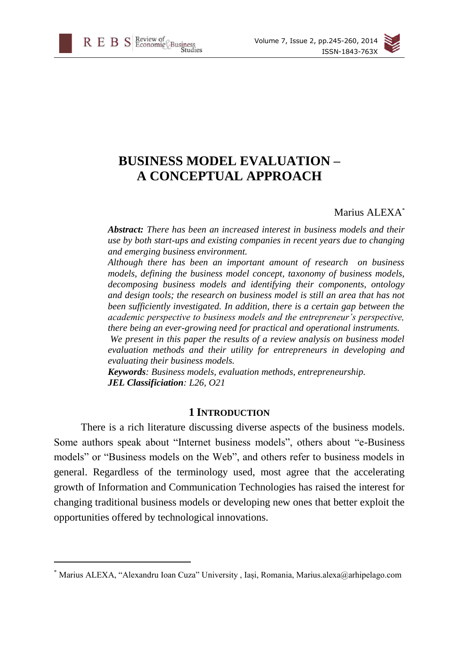# **BUSINESS MODEL EVALUATION – A CONCEPTUAL APPROACH**

#### Marius ALEXA\*

*Abstract: There has been an increased interest in business models and their use by both start-ups and existing companies in recent years due to changing and emerging business environment.* 

*Although there has been an important amount of research on business models, defining the business model concept, taxonomy of business models, decomposing business models and identifying their components, ontology and design tools; the research on business model is still an area that has not been sufficiently investigated. In addition, there is a certain gap between the academic perspective to business models and the entrepreneur's perspective, there being an ever-growing need for practical and operational instruments.* 

*We present in this paper the results of a review analysis on business model evaluation methods and their utility for entrepreneurs in developing and evaluating their business models.* 

*Keywords: Business models, evaluation methods, entrepreneurship. JEL Classificiation: L26, O21*

#### **1 INTRODUCTION**

There is a rich literature discussing diverse aspects of the business models. Some authors speak about "Internet business models", others about "e-Business models" or "Business models on the Web", and others refer to business models in general. Regardless of the terminology used, most agree that the accelerating growth of Information and Communication Technologies has raised the interest for changing traditional business models or developing new ones that better exploit the opportunities offered by technological innovations.

l

<sup>\*</sup> Marius ALEXA, "Alexandru Ioan Cuza" University , Iași, Romania, Marius.alexa@arhipelago.com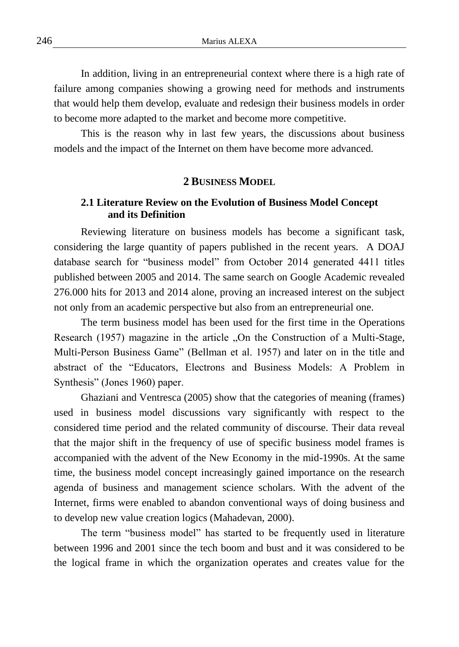In addition, living in an entrepreneurial context where there is a high rate of failure among companies showing a growing need for methods and instruments that would help them develop, evaluate and redesign their business models in order to become more adapted to the market and become more competitive.

This is the reason why in last few years, the discussions about business models and the impact of the Internet on them have become more advanced.

### **2 BUSINESS MODEL**

## **2.1 Literature Review on the Evolution of Business Model Concept and its Definition**

Reviewing literature on business models has become a significant task, considering the large quantity of papers published in the recent years. A DOAJ database search for "business model" from October 2014 generated 4411 titles published between 2005 and 2014. The same search on Google Academic revealed 276.000 hits for 2013 and 2014 alone, proving an increased interest on the subject not only from an academic perspective but also from an entrepreneurial one.

The term business model has been used for the first time in the Operations Research (1957) magazine in the article . On the Construction of a Multi-Stage, Multi-Person Business Game" (Bellman et al. 1957) and later on in the title and abstract of the "Educators, Electrons and Business Models: A Problem in Synthesis" (Jones 1960) paper.

Ghaziani and Ventresca (2005) show that the categories of meaning (frames) used in business model discussions vary significantly with respect to the considered time period and the related community of discourse. Their data reveal that the major shift in the frequency of use of specific business model frames is accompanied with the advent of the New Economy in the mid-1990s. At the same time, the business model concept increasingly gained importance on the research agenda of business and management science scholars. With the advent of the Internet, firms were enabled to abandon conventional ways of doing business and to develop new value creation logics (Mahadevan, 2000).

The term "business model" has started to be frequently used in literature between 1996 and 2001 since the tech boom and bust and it was considered to be the logical frame in which the organization operates and creates value for the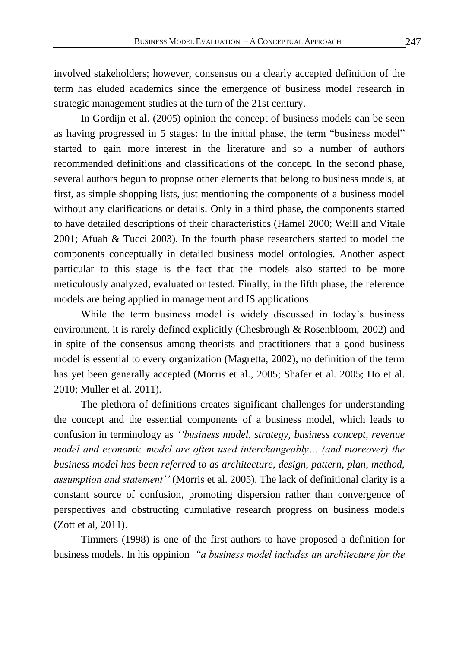involved stakeholders; however, consensus on a clearly accepted definition of the term has eluded academics since the emergence of business model research in strategic management studies at the turn of the 21st century.

In Gordijn et al. (2005) opinion the concept of business models can be seen as having progressed in 5 stages: In the initial phase, the term "business model" started to gain more interest in the literature and so a number of authors recommended definitions and classifications of the concept. In the second phase, several authors begun to propose other elements that belong to business models, at first, as simple shopping lists, just mentioning the components of a business model without any clarifications or details. Only in a third phase, the components started to have detailed descriptions of their characteristics (Hamel 2000; Weill and Vitale 2001; Afuah & Tucci 2003). In the fourth phase researchers started to model the components conceptually in detailed business model ontologies. Another aspect particular to this stage is the fact that the models also started to be more meticulously analyzed, evaluated or tested. Finally, in the fifth phase, the reference models are being applied in management and IS applications.

While the term business model is widely discussed in today's business environment, it is rarely defined explicitly (Chesbrough & Rosenbloom, 2002) and in spite of the consensus among theorists and practitioners that a good business model is essential to every organization (Magretta, 2002), no definition of the term has yet been generally accepted (Morris et al., 2005; Shafer et al. 2005; Ho et al. 2010; Muller et al. 2011).

The plethora of definitions creates significant challenges for understanding the concept and the essential components of a business model, which leads to confusion in terminology as *''business model, strategy, business concept, revenue model and economic model are often used interchangeably… (and moreover) the business model has been referred to as architecture, design, pattern, plan, method, assumption and statement''* (Morris et al. 2005). The lack of definitional clarity is a constant source of confusion, promoting dispersion rather than convergence of perspectives and obstructing cumulative research progress on business models (Zott et al, 2011).

Timmers (1998) is one of the first authors to have proposed a definition for business models. In his oppinion *"a business model includes an architecture for the*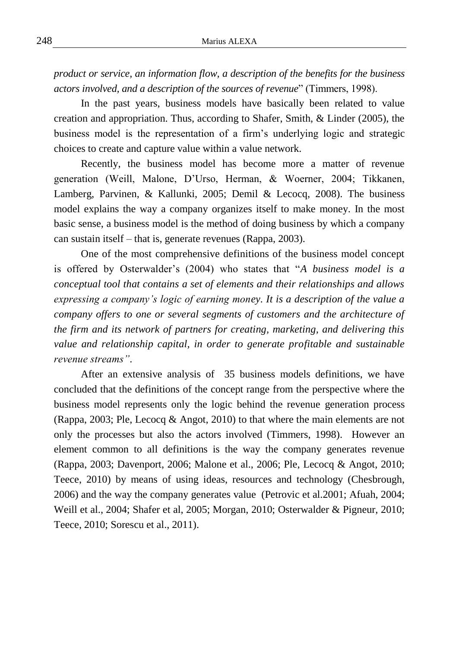*product or service, an information flow, a description of the benefits for the business actors involved, and a description of the sources of revenue*" (Timmers, 1998).

In the past years, business models have basically been related to value creation and appropriation. Thus, according to Shafer, Smith, & Linder (2005), the business model is the representation of a firm's underlying logic and strategic choices to create and capture value within a value network.

Recently, the business model has become more a matter of revenue generation (Weill, Malone, D'Urso, Herman, & Woerner, 2004; Tikkanen, Lamberg, Parvinen, & Kallunki, 2005; Demil & Lecocq, 2008). The business model explains the way a company organizes itself to make money. In the most basic sense, a business model is the method of doing business by which a company can sustain itself – that is, generate revenues (Rappa, 2003).

One of the most comprehensive definitions of the business model concept is offered by Osterwalder's (2004) who states that "*A business model is a conceptual tool that contains a set of elements and their relationships and allows expressing a company's logic of earning money. It is a description of the value a company offers to one or several segments of customers and the architecture of the firm and its network of partners for creating, marketing, and delivering this value and relationship capital, in order to generate profitable and sustainable revenue streams"*.

After an extensive analysis of 35 business models definitions, we have concluded that the definitions of the concept range from the perspective where the business model represents only the logic behind the revenue generation process (Rappa, 2003; Ple, Lecocq & Angot, 2010) to that where the main elements are not only the processes but also the actors involved (Timmers, 1998). However an element common to all definitions is the way the company generates revenue (Rappa, 2003; Davenport, 2006; Malone et al., 2006; Ple, Lecocq & Angot, 2010; Teece, 2010) by means of using ideas, resources and technology (Chesbrough, 2006) and the way the company generates value (Petrovic et al.2001; Afuah, 2004; Weill et al., 2004; Shafer et al, 2005; Morgan, 2010; Osterwalder & Pigneur, 2010; Teece, 2010; Sorescu et al., 2011).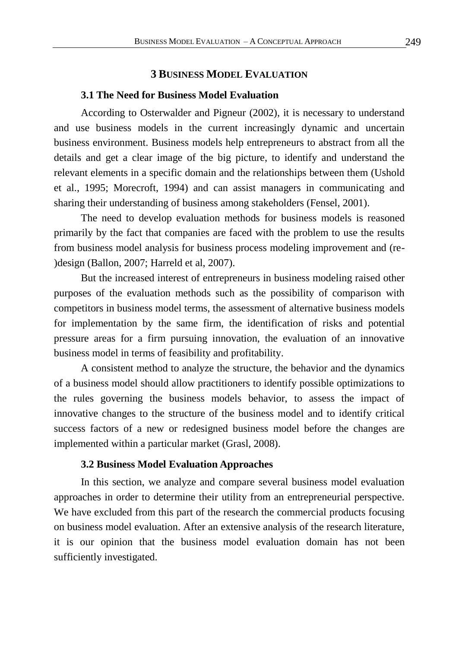### **3 BUSINESS MODEL EVALUATION**

#### **3.1 The Need for Business Model Evaluation**

According to Osterwalder and Pigneur (2002), it is necessary to understand and use business models in the current increasingly dynamic and uncertain business environment. Business models help entrepreneurs to abstract from all the details and get a clear image of the big picture, to identify and understand the relevant elements in a specific domain and the relationships between them (Ushold et al., 1995; Morecroft, 1994) and can assist managers in communicating and sharing their understanding of business among stakeholders (Fensel, 2001).

The need to develop evaluation methods for business models is reasoned primarily by the fact that companies are faced with the problem to use the results from business model analysis for business process modeling improvement and (re- )design (Ballon, 2007; Harreld et al, 2007).

But the increased interest of entrepreneurs in business modeling raised other purposes of the evaluation methods such as the possibility of comparison with competitors in business model terms, the assessment of alternative business models for implementation by the same firm, the identification of risks and potential pressure areas for a firm pursuing innovation, the evaluation of an innovative business model in terms of feasibility and profitability.

A consistent method to analyze the structure, the behavior and the dynamics of a business model should allow practitioners to identify possible optimizations to the rules governing the business models behavior, to assess the impact of innovative changes to the structure of the business model and to identify critical success factors of a new or redesigned business model before the changes are implemented within a particular market (Grasl, 2008).

#### **3.2 Business Model Evaluation Approaches**

In this section, we analyze and compare several business model evaluation approaches in order to determine their utility from an entrepreneurial perspective. We have excluded from this part of the research the commercial products focusing on business model evaluation. After an extensive analysis of the research literature, it is our opinion that the business model evaluation domain has not been sufficiently investigated.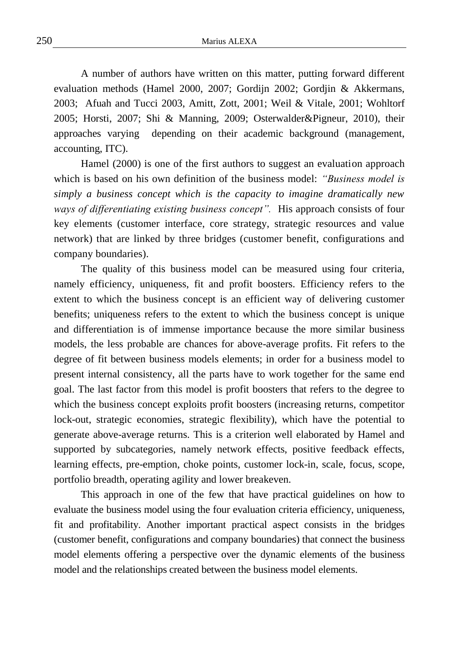A number of authors have written on this matter, putting forward different evaluation methods (Hamel 2000, 2007; Gordijn 2002; Gordjin & Akkermans, 2003; Afuah and Tucci 2003, Amitt, Zott, 2001; Weil & Vitale, 2001; Wohltorf 2005; Horsti, 2007; Shi & Manning, 2009; Osterwalder&Pigneur, 2010), their approaches varying depending on their academic background (management, accounting, ITC).

Hamel (2000) is one of the first authors to suggest an evaluation approach which is based on his own definition of the business model: *"Business model is simply a business concept which is the capacity to imagine dramatically new ways of differentiating existing business concept".* His approach consists of four key elements (customer interface, core strategy, strategic resources and value network) that are linked by three bridges (customer benefit, configurations and company boundaries).

The quality of this business model can be measured using four criteria, namely efficiency, uniqueness, fit and profit boosters. Efficiency refers to the extent to which the business concept is an efficient way of delivering customer benefits; uniqueness refers to the extent to which the business concept is unique and differentiation is of immense importance because the more similar business models, the less probable are chances for above-average profits. Fit refers to the degree of fit between business models elements; in order for a business model to present internal consistency, all the parts have to work together for the same end goal. The last factor from this model is profit boosters that refers to the degree to which the business concept exploits profit boosters (increasing returns, competitor lock-out, strategic economies, strategic flexibility), which have the potential to generate above-average returns. This is a criterion well elaborated by Hamel and supported by subcategories, namely network effects, positive feedback effects, learning effects, pre-emption, choke points, customer lock-in, scale, focus, scope, portfolio breadth, operating agility and lower breakeven.

This approach in one of the few that have practical guidelines on how to evaluate the business model using the four evaluation criteria efficiency, uniqueness, fit and profitability. Another important practical aspect consists in the bridges (customer benefit, configurations and company boundaries) that connect the business model elements offering a perspective over the dynamic elements of the business model and the relationships created between the business model elements.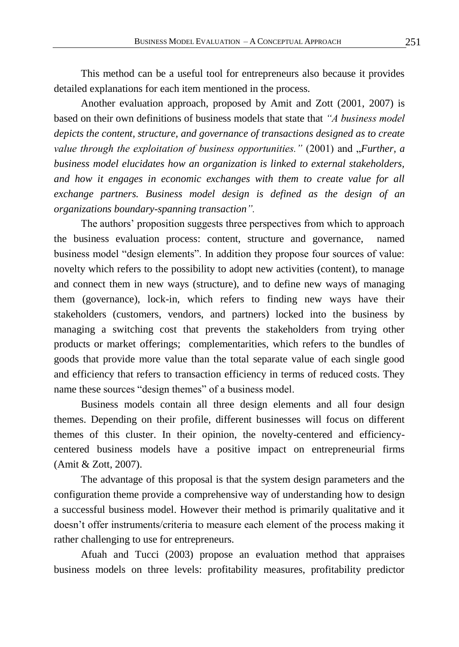This method can be a useful tool for entrepreneurs also because it provides detailed explanations for each item mentioned in the process.

Another evaluation approach, proposed by Amit and Zott (2001, 2007) is based on their own definitions of business models that state that *"A business model depicts the content, structure, and governance of transactions designed as to create value through the exploitation of business opportunities.*" (2001) and *"Further, a business model elucidates how an organization is linked to external stakeholders, and how it engages in economic exchanges with them to create value for all exchange partners. Business model design is defined as the design of an organizations boundary-spanning transaction".*

The authors' proposition suggests three perspectives from which to approach the business evaluation process: content, structure and governance, named business model "design elements". In addition they propose four sources of value: novelty which refers to the possibility to adopt new activities (content), to manage and connect them in new ways (structure), and to define new ways of managing them (governance), lock-in, which refers to finding new ways have their stakeholders (customers, vendors, and partners) locked into the business by managing a switching cost that prevents the stakeholders from trying other products or market offerings; complementarities, which refers to the bundles of goods that provide more value than the total separate value of each single good and efficiency that refers to transaction efficiency in terms of reduced costs. They name these sources "design themes" of a business model.

Business models contain all three design elements and all four design themes. Depending on their profile, different businesses will focus on different themes of this cluster. In their opinion, the novelty-centered and efficiencycentered business models have a positive impact on entrepreneurial firms (Amit & Zott, 2007).

The advantage of this proposal is that the system design parameters and the configuration theme provide a comprehensive way of understanding how to design a successful business model. However their method is primarily qualitative and it doesn't offer instruments/criteria to measure each element of the process making it rather challenging to use for entrepreneurs.

Afuah and Tucci (2003) propose an evaluation method that appraises business models on three levels: profitability measures, profitability predictor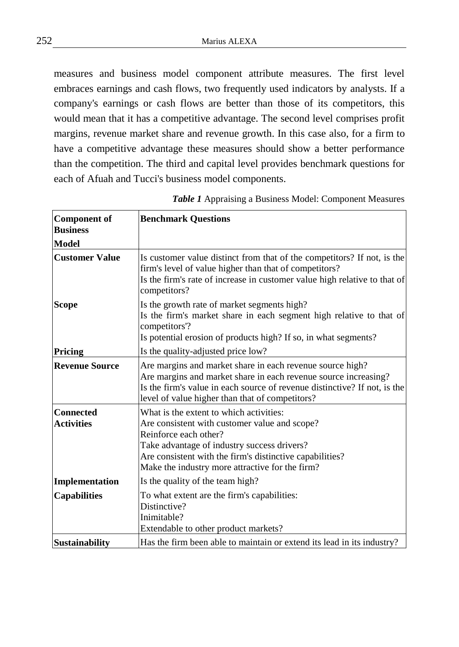measures and business model component attribute measures. The first level embraces earnings and cash flows, two frequently used indicators by analysts. If a company's earnings or cash flows are better than those of its competitors, this would mean that it has a competitive advantage. The second level comprises profit margins, revenue market share and revenue growth. In this case also, for a firm to have a competitive advantage these measures should show a better performance than the competition. The third and capital level provides benchmark questions for each of Afuah and Tucci's business model components.

| <b>Component of</b><br><b>Business</b> | <b>Benchmark Questions</b>                                                                                                                                                                                                                                                      |
|----------------------------------------|---------------------------------------------------------------------------------------------------------------------------------------------------------------------------------------------------------------------------------------------------------------------------------|
| <b>Model</b>                           |                                                                                                                                                                                                                                                                                 |
| <b>Customer Value</b>                  | Is customer value distinct from that of the competitors? If not, is the<br>firm's level of value higher than that of competitors?<br>Is the firm's rate of increase in customer value high relative to that of<br>competitors?                                                  |
| <b>Scope</b>                           | Is the growth rate of market segments high?<br>Is the firm's market share in each segment high relative to that of<br>competitors'?<br>Is potential erosion of products high? If so, in what segments?                                                                          |
| Pricing                                | Is the quality-adjusted price low?                                                                                                                                                                                                                                              |
| <b>Revenue Source</b>                  | Are margins and market share in each revenue source high?<br>Are margins and market share in each revenue source increasing?<br>Is the firm's value in each source of revenue distinctive? If not, is the<br>level of value higher than that of competitors?                    |
| <b>Connected</b><br><b>Activities</b>  | What is the extent to which activities:<br>Are consistent with customer value and scope?<br>Reinforce each other?<br>Take advantage of industry success drivers?<br>Are consistent with the firm's distinctive capabilities?<br>Make the industry more attractive for the firm? |
| Implementation                         | Is the quality of the team high?                                                                                                                                                                                                                                                |
| <b>Capabilities</b>                    | To what extent are the firm's capabilities:<br>Distinctive?<br>Inimitable?<br>Extendable to other product markets?                                                                                                                                                              |
| <b>Sustainability</b>                  | Has the firm been able to maintain or extend its lead in its industry?                                                                                                                                                                                                          |

*Table 1* Appraising a Business Model: Component Measures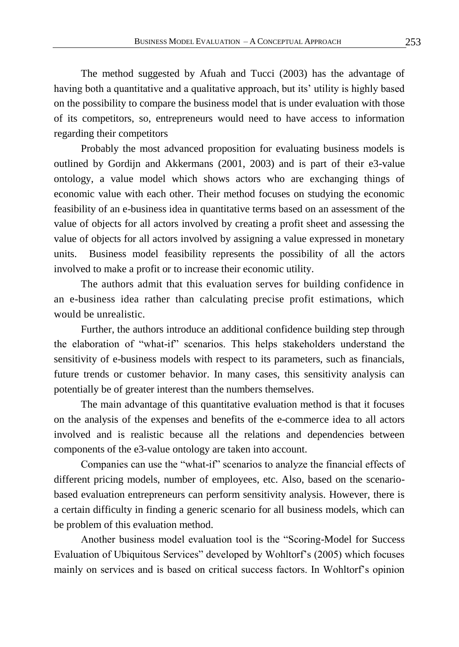The method suggested by Afuah and Tucci (2003) has the advantage of having both a quantitative and a qualitative approach, but its' utility is highly based on the possibility to compare the business model that is under evaluation with those of its competitors, so, entrepreneurs would need to have access to information regarding their competitors

Probably the most advanced proposition for evaluating business models is outlined by Gordijn and Akkermans (2001, 2003) and is part of their e3-value ontology, a value model which shows actors who are exchanging things of economic value with each other. Their method focuses on studying the economic feasibility of an e-business idea in quantitative terms based on an assessment of the value of objects for all actors involved by creating a profit sheet and assessing the value of objects for all actors involved by assigning a value expressed in monetary units. Business model feasibility represents the possibility of all the actors involved to make a profit or to increase their economic utility.

The authors admit that this evaluation serves for building confidence in an e-business idea rather than calculating precise profit estimations, which would be unrealistic.

Further, the authors introduce an additional confidence building step through the elaboration of "what-if" scenarios. This helps stakeholders understand the sensitivity of e-business models with respect to its parameters, such as financials, future trends or customer behavior. In many cases, this sensitivity analysis can potentially be of greater interest than the numbers themselves.

The main advantage of this quantitative evaluation method is that it focuses on the analysis of the expenses and benefits of the e-commerce idea to all actors involved and is realistic because all the relations and dependencies between components of the e3-value ontology are taken into account.

Companies can use the "what-if" scenarios to analyze the financial effects of different pricing models, number of employees, etc. Also, based on the scenariobased evaluation entrepreneurs can perform sensitivity analysis. However, there is a certain difficulty in finding a generic scenario for all business models, which can be problem of this evaluation method.

Another business model evaluation tool is the "Scoring-Model for Success Evaluation of Ubiquitous Services" developed by Wohltorf's (2005) which focuses mainly on services and is based on critical success factors. In Wohltorf's opinion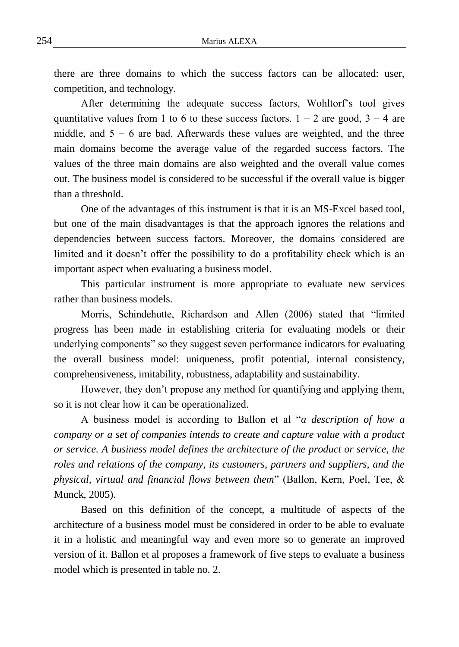there are three domains to which the success factors can be allocated: user, competition, and technology.

After determining the adequate success factors, Wohltorf's tool gives quantitative values from 1 to 6 to these success factors.  $1 - 2$  are good,  $3 - 4$  are middle, and  $5 - 6$  are bad. Afterwards these values are weighted, and the three main domains become the average value of the regarded success factors. The values of the three main domains are also weighted and the overall value comes out. The business model is considered to be successful if the overall value is bigger than a threshold.

One of the advantages of this instrument is that it is an MS-Excel based tool, but one of the main disadvantages is that the approach ignores the relations and dependencies between success factors. Moreover, the domains considered are limited and it doesn't offer the possibility to do a profitability check which is an important aspect when evaluating a business model.

This particular instrument is more appropriate to evaluate new services rather than business models.

Morris, Schindehutte, Richardson and Allen (2006) stated that "limited progress has been made in establishing criteria for evaluating models or their underlying components" so they suggest seven performance indicators for evaluating the overall business model: uniqueness, profit potential, internal consistency, comprehensiveness, imitability, robustness, adaptability and sustainability.

However, they don't propose any method for quantifying and applying them, so it is not clear how it can be operationalized.

A business model is according to Ballon et al "*a description of how a company or a set of companies intends to create and capture value with a product or service. A business model defines the architecture of the product or service, the roles and relations of the company, its customers, partners and suppliers, and the physical, virtual and financial flows between them*" (Ballon, Kern, Poel, Tee, & Munck, 2005).

Based on this definition of the concept, a multitude of aspects of the architecture of a business model must be considered in order to be able to evaluate it in a holistic and meaningful way and even more so to generate an improved version of it. Ballon et al proposes a framework of five steps to evaluate a business model which is presented in table no. 2.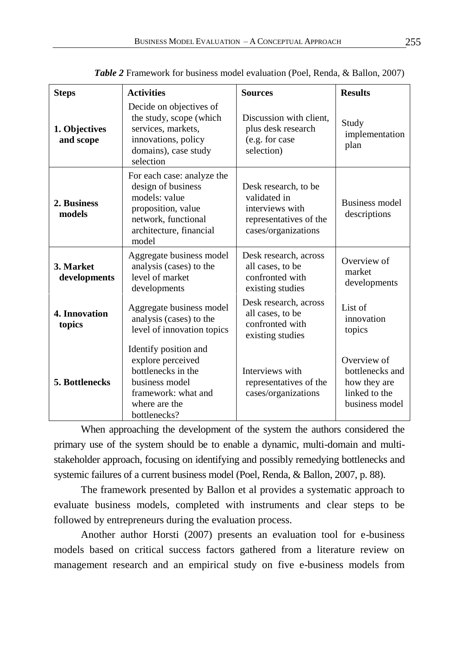| <b>Steps</b>               | <b>Activities</b>                                                                                                                                                                                                                                              | <b>Sources</b>                                                                   | <b>Results</b>                                                                    |
|----------------------------|----------------------------------------------------------------------------------------------------------------------------------------------------------------------------------------------------------------------------------------------------------------|----------------------------------------------------------------------------------|-----------------------------------------------------------------------------------|
| 1. Objectives<br>and scope | Decide on objectives of<br>the study, scope (which<br>services, markets,<br>innovations, policy<br>domains), case study<br>selection                                                                                                                           | Discussion with client.<br>plus desk research<br>(e.g. for case<br>selection)    | Study<br>implementation<br>plan                                                   |
| 2. Business<br>models      | For each case: analyze the<br>design of business<br>Desk research, to be<br>models: value<br>validated in<br>interviews with<br>proposition, value<br>network, functional<br>representatives of the<br>architecture, financial<br>cases/organizations<br>model |                                                                                  | Business model<br>descriptions                                                    |
| 3. Market<br>developments  | Aggregate business model<br>analysis (cases) to the<br>level of market<br>developments                                                                                                                                                                         | Desk research, across<br>all cases, to be<br>confronted with<br>existing studies | Overview of<br>market<br>developments                                             |
| 4. Innovation<br>topics    | Aggregate business model<br>analysis (cases) to the<br>level of innovation topics                                                                                                                                                                              | Desk research, across<br>all cases, to be<br>confronted with<br>existing studies | List of<br>innovation<br>topics                                                   |
| 5. Bottlenecks             | Identify position and<br>explore perceived<br>bottlenecks in the<br>business model<br>framework: what and<br>where are the<br>bottlenecks?                                                                                                                     | Interviews with<br>representatives of the<br>cases/organizations                 | Overview of<br>bottlenecks and<br>how they are<br>linked to the<br>business model |

*Table 2* Framework for business model evaluation (Poel, Renda, & Ballon, 2007)

When approaching the development of the system the authors considered the primary use of the system should be to enable a dynamic, multi-domain and multistakeholder approach, focusing on identifying and possibly remedying bottlenecks and systemic failures of a current business model (Poel, Renda, & Ballon, 2007, p. 88).

The framework presented by Ballon et al provides a systematic approach to evaluate business models, completed with instruments and clear steps to be followed by entrepreneurs during the evaluation process.

Another author Horsti (2007) presents an evaluation tool for e-business models based on critical success factors gathered from a literature review on management research and an empirical study on five e-business models from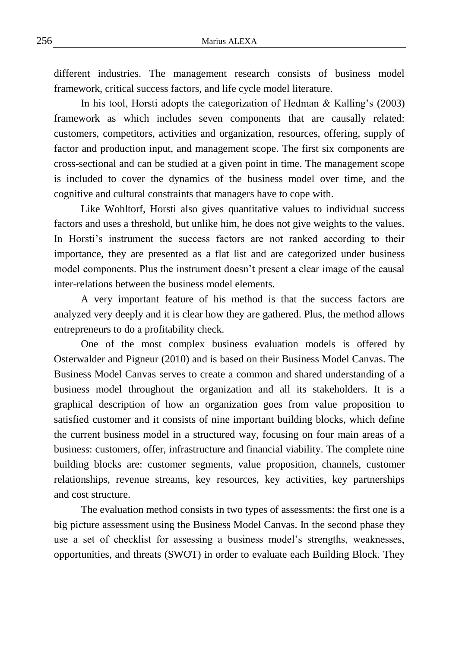different industries. The management research consists of business model framework, critical success factors, and life cycle model literature.

In his tool, Horsti adopts the categorization of Hedman & Kalling's (2003) framework as which includes seven components that are causally related: customers, competitors, activities and organization, resources, offering, supply of factor and production input, and management scope. The first six components are cross-sectional and can be studied at a given point in time. The management scope is included to cover the dynamics of the business model over time, and the cognitive and cultural constraints that managers have to cope with.

Like Wohltorf, Horsti also gives quantitative values to individual success factors and uses a threshold, but unlike him, he does not give weights to the values. In Horsti's instrument the success factors are not ranked according to their importance, they are presented as a flat list and are categorized under business model components. Plus the instrument doesn't present a clear image of the causal inter-relations between the business model elements.

A very important feature of his method is that the success factors are analyzed very deeply and it is clear how they are gathered. Plus, the method allows entrepreneurs to do a profitability check.

One of the most complex business evaluation models is offered by Osterwalder and Pigneur (2010) and is based on their Business Model Canvas. The Business Model Canvas serves to create a common and shared understanding of a business model throughout the organization and all its stakeholders. It is a graphical description of how an organization goes from value proposition to satisfied customer and it consists of nine important building blocks, which define the current business model in a structured way, focusing on four main areas of a business: customers, offer, infrastructure and financial viability. The complete nine building blocks are: customer segments, value proposition, channels, customer relationships, revenue streams, key resources, key activities, key partnerships and cost structure.

The evaluation method consists in two types of assessments: the first one is a big picture assessment using the Business Model Canvas. In the second phase they use a set of checklist for assessing a business model's strengths, weaknesses, opportunities, and threats (SWOT) in order to evaluate each Building Block. They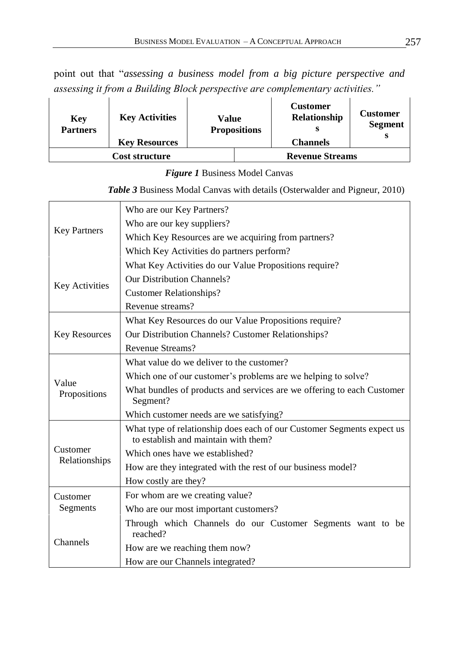point out that "*assessing a business model from a big picture perspective and assessing it from a Building Block perspective are complementary activities."*

| <b>Key</b><br><b>Partners</b> | <b>Key Activities</b> | Value | <b>Propositions</b> | <b>Customer</b><br>Relationship | <b>Customer</b><br><b>Segment</b> |
|-------------------------------|-----------------------|-------|---------------------|---------------------------------|-----------------------------------|
|                               | <b>Key Resources</b>  |       |                     | <b>Channels</b>                 |                                   |
| <b>Cost structure</b>         |                       |       |                     | <b>Revenue Streams</b>          |                                   |

*Figure 1* Business Model Canvas

 $\mathbf{I}$ 

*Table 3* Business Modal Canvas with details (Osterwalder and Pigneur, 2010)

| <b>Key Partners</b>       | Who are our Key Partners?                                                                                      |
|---------------------------|----------------------------------------------------------------------------------------------------------------|
|                           | Who are our key suppliers?                                                                                     |
|                           | Which Key Resources are we acquiring from partners?                                                            |
|                           | Which Key Activities do partners perform?                                                                      |
| <b>Key Activities</b>     | What Key Activities do our Value Propositions require?                                                         |
|                           | <b>Our Distribution Channels?</b>                                                                              |
|                           | <b>Customer Relationships?</b>                                                                                 |
|                           | Revenue streams?                                                                                               |
|                           | What Key Resources do our Value Propositions require?                                                          |
| <b>Key Resources</b>      | Our Distribution Channels? Customer Relationships?                                                             |
|                           | Revenue Streams?                                                                                               |
|                           | What value do we deliver to the customer?                                                                      |
| Value                     | Which one of our customer's problems are we helping to solve?                                                  |
| Propositions              | What bundles of products and services are we offering to each Customer<br>Segment?                             |
|                           | Which customer needs are we satisfying?                                                                        |
| Customer<br>Relationships | What type of relationship does each of our Customer Segments expect us<br>to establish and maintain with them? |
|                           | Which ones have we established?                                                                                |
|                           | How are they integrated with the rest of our business model?                                                   |
|                           | How costly are they?                                                                                           |
| Customer                  | For whom are we creating value?                                                                                |
| Segments                  | Who are our most important customers?                                                                          |
| Channels                  | Through which Channels do our Customer Segments want to be<br>reached?                                         |
|                           | How are we reaching them now?                                                                                  |
|                           | How are our Channels integrated?                                                                               |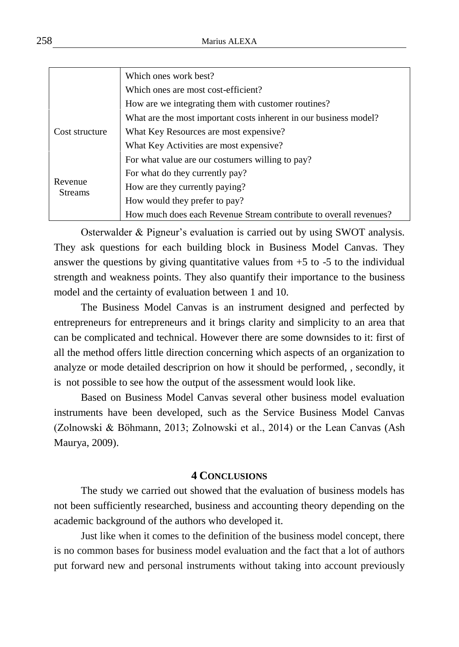|                           | Which ones work best?                                             |
|---------------------------|-------------------------------------------------------------------|
|                           | Which ones are most cost-efficient?                               |
|                           | How are we integrating them with customer routines?               |
| Cost structure            | What are the most important costs inherent in our business model? |
|                           | What Key Resources are most expensive?                            |
|                           | What Key Activities are most expensive?                           |
| Revenue<br><b>Streams</b> | For what value are our costumers willing to pay?                  |
|                           | For what do they currently pay?                                   |
|                           | How are they currently paying?                                    |
|                           | How would they prefer to pay?                                     |
|                           | How much does each Revenue Stream contribute to overall revenues? |

Osterwalder & Pigneur's evaluation is carried out by using SWOT analysis. They ask questions for each building block in Business Model Canvas. They answer the questions by giving quantitative values from  $+5$  to  $-5$  to the individual strength and weakness points. They also quantify their importance to the business model and the certainty of evaluation between 1 and 10.

The Business Model Canvas is an instrument designed and perfected by entrepreneurs for entrepreneurs and it brings clarity and simplicity to an area that can be complicated and technical. However there are some downsides to it: first of all the method offers little direction concerning which aspects of an organization to analyze or mode detailed descriprion on how it should be performed, , secondly, it is not possible to see how the output of the assessment would look like.

Based on Business Model Canvas several other business model evaluation instruments have been developed, such as the Service Business Model Canvas (Zolnowski & Böhmann, 2013; Zolnowski et al., 2014) or the Lean Canvas [\(Ash](http://practicetrumpstheory.com/about)  [Maurya,](http://practicetrumpstheory.com/about) 2009).

#### **4 CONCLUSIONS**

The study we carried out showed that the evaluation of business models has not been sufficiently researched, business and accounting theory depending on the academic background of the authors who developed it.

Just like when it comes to the definition of the business model concept, there is no common bases for business model evaluation and the fact that a lot of authors put forward new and personal instruments without taking into account previously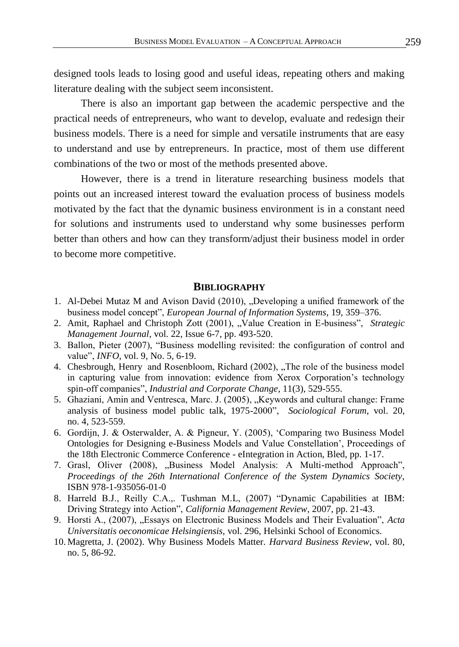designed tools leads to losing good and useful ideas, repeating others and making literature dealing with the subject seem inconsistent.

There is also an important gap between the academic perspective and the practical needs of entrepreneurs, who want to develop, evaluate and redesign their business models. There is a need for simple and versatile instruments that are easy to understand and use by entrepreneurs. In practice, most of them use different combinations of the two or most of the methods presented above.

However, there is a trend in literature researching business models that points out an increased interest toward the evaluation process of business models motivated by the fact that the dynamic business environment is in a constant need for solutions and instruments used to understand why some businesses perform better than others and how can they transform/adjust their business model in order to become more competitive.

#### **BIBLIOGRAPHY**

- 1. Al-Debei Mutaz M and Avison David (2010), "Developing a unified framework of the business model concept", *European Journal of Information Systems*, 19, 359–376.
- 2. Amit, Raphael and Christoph Zott (2001), "Value Creation in E-business", Strategic *Management Journal*, vol. 22, Issue 6-7, pp. 493-520.
- 3. Ballon, Pieter (2007), "Business modelling revisited: the configuration of control and value", *INFO,* vol. 9, No. 5, 6-19.
- 4. Chesbrough, Henry and Rosenbloom, Richard (2002), "The role of the business model in capturing value from innovation: evidence from Xerox Corporation's technology spin-off companies", *Industrial and Corporate Change*, 11(3), 529-555.
- 5. Ghaziani, Amin and Ventresca, Marc. J. (2005), "Keywords and cultural change: Frame analysis of business model public talk, 1975-2000", *Sociological Forum*, vol. 20, no. 4, 523-559.
- 6. Gordijn, J. & Osterwalder, A. & Pigneur, Y. (2005), 'Comparing two Business Model Ontologies for Designing e-Business Models and Value Constellation', Proceedings of the 18th Electronic Commerce Conference - eIntegration in Action, Bled, pp. 1-17.
- 7. Grasl, Oliver (2008), "Business Model Analysis: A Multi-method Approach", *Proceedings of the 26th International Conference of the System Dynamics Society,*  ISBN 978-1-935056-01-0
- 8. Harreld B.J., Reilly C.A.,. Tushman M.L, (2007) "Dynamic Capabilities at IBM: Driving Strategy into Action", *California Management Review*, 2007, pp. 21-43.
- 9. Horsti A., (2007), "Essays on Electronic Business Models and Their Evaluation", Acta *Universitatis oeconomicae Helsingiensis,* vol. 296, Helsinki School of Economics.
- 10. Magretta, J. (2002). Why Business Models Matter. *Harvard Business Review*, vol. 80, no. 5, 86-92.